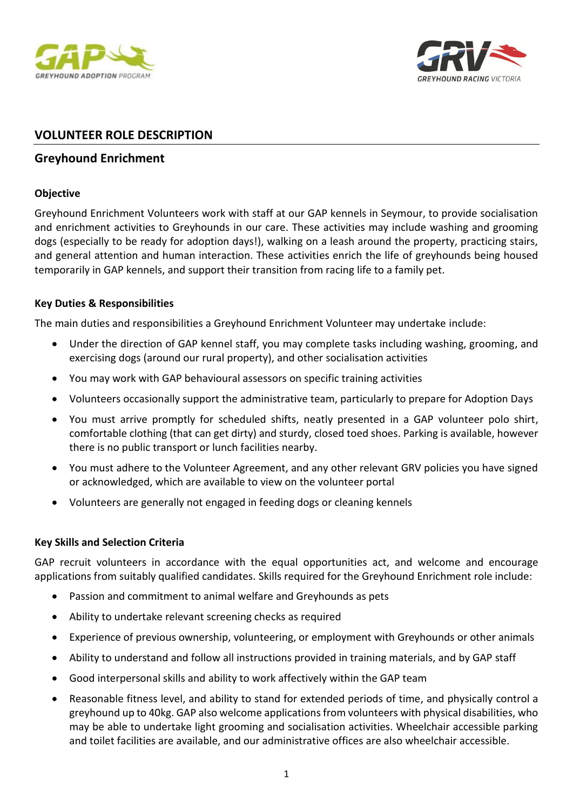



# **VOLUNTEER ROLE DESCRIPTION**

## **Greyhound Enrichment**

### **Objective**

Greyhound Enrichment Volunteers work with staff at our GAP kennels in Seymour, to provide socialisation and enrichment activities to Greyhounds in our care. These activities may include washing and grooming dogs (especially to be ready for adoption days!), walking on a leash around the property, practicing stairs, and general attention and human interaction. These activities enrich the life of greyhounds being housed temporarily in GAP kennels, and support their transition from racing life to a family pet.

### **Key Duties & Responsibilities**

The main duties and responsibilities a Greyhound Enrichment Volunteer may undertake include:

- Under the direction of GAP kennel staff, you may complete tasks including washing, grooming, and exercising dogs (around our rural property), and other socialisation activities
- You may work with GAP behavioural assessors on specific training activities
- Volunteers occasionally support the administrative team, particularly to prepare for Adoption Days
- You must arrive promptly for scheduled shifts, neatly presented in a GAP volunteer polo shirt, comfortable clothing (that can get dirty) and sturdy, closed toed shoes. Parking is available, however there is no public transport or lunch facilities nearby.
- You must adhere to the Volunteer Agreement, and any other relevant GRV policies you have signed or acknowledged, which are available to view on the volunteer portal
- Volunteers are generally not engaged in feeding dogs or cleaning kennels

### **Key Skills and Selection Criteria**

GAP recruit volunteers in accordance with the equal opportunities act, and welcome and encourage applications from suitably qualified candidates. Skills required for the Greyhound Enrichment role include:

- Passion and commitment to animal welfare and Greyhounds as pets
- Ability to undertake relevant screening checks as required
- Experience of previous ownership, volunteering, or employment with Greyhounds or other animals
- Ability to understand and follow all instructions provided in training materials, and by GAP staff
- Good interpersonal skills and ability to work affectively within the GAP team
- Reasonable fitness level, and ability to stand for extended periods of time, and physically control a greyhound up to 40kg. GAP also welcome applications from volunteers with physical disabilities, who may be able to undertake light grooming and socialisation activities. Wheelchair accessible parking and toilet facilities are available, and our administrative offices are also wheelchair accessible.